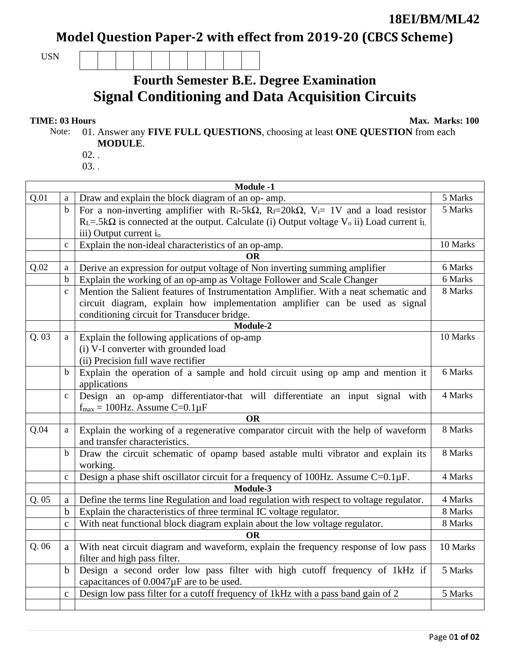**18EI/BM/ML42** 

Model Question Paper-2 with effect from 2019-20 (CBCS Scheme)

USN

## **Fourth Semester B.E. Degree Examination Signal Conditioning and Data Acquisition Circuits**

## **TIME: 03 Hours Max. Marks: 100**

Note: 01. Answer any **FIVE FULL QUESTIONS**, choosing at least **ONE QUESTION** from each **MODULE**.

- $02.$ .
- 03. .

|      | <b>Module -1</b> |                                                                                                                                         |          |  |  |
|------|------------------|-----------------------------------------------------------------------------------------------------------------------------------------|----------|--|--|
| Q.01 | a                | Draw and explain the block diagram of an op- amp.                                                                                       | 5 Marks  |  |  |
|      | $\mathbf b$      | For a non-inverting amplifier with R <sub>i</sub> -5k $\Omega$ , R <sub>f</sub> =20k $\Omega$ , V <sub>i</sub> = 1V and a load resistor | 5 Marks  |  |  |
|      |                  | $R_L = .5k\Omega$ is connected at the output. Calculate (i) Output voltage $V_0$ ii) Load current i <sub>L</sub>                        |          |  |  |
|      |                  | iii) Output current i <sub>o</sub>                                                                                                      |          |  |  |
|      | $\mathbf c$      | Explain the non-ideal characteristics of an op-amp.                                                                                     | 10 Marks |  |  |
|      |                  | ОR                                                                                                                                      |          |  |  |
| Q.02 | a                | Derive an expression for output voltage of Non inverting summing amplifier                                                              | 6 Marks  |  |  |
|      | b                | Explain the working of an op-amp as Voltage Follower and Scale Changer                                                                  | 6 Marks  |  |  |
|      | $\mathbf c$      | Mention the Salient features of Instrumentation Amplifier. With a neat schematic and                                                    | 8 Marks  |  |  |
|      |                  | circuit diagram, explain how implementation amplifier can be used as signal                                                             |          |  |  |
|      |                  | conditioning circuit for Transducer bridge.                                                                                             |          |  |  |
|      |                  | Module-2                                                                                                                                |          |  |  |
| Q.03 | a                | Explain the following applications of op-amp                                                                                            | 10 Marks |  |  |
|      |                  | (i) V-I converter with grounded load                                                                                                    |          |  |  |
|      |                  | (ii) Precision full wave rectifier                                                                                                      |          |  |  |
|      | b                | Explain the operation of a sample and hold circuit using op amp and mention it                                                          | 6 Marks  |  |  |
|      |                  | applications                                                                                                                            |          |  |  |
|      | $\mathbf c$      | Design an op-amp differentiator-that will differentiate an input signal with                                                            | 4 Marks  |  |  |
|      |                  | $f_{\text{max}} = 100$ Hz. Assume C=0.1 $\mu$ F                                                                                         |          |  |  |
|      |                  | <b>OR</b>                                                                                                                               |          |  |  |
| Q.04 | a                | Explain the working of a regenerative comparator circuit with the help of waveform                                                      | 8 Marks  |  |  |
|      |                  | and transfer characteristics.                                                                                                           |          |  |  |
|      | b                | Draw the circuit schematic of opamp based astable multi vibrator and explain its                                                        | 8 Marks  |  |  |
|      |                  | working.                                                                                                                                |          |  |  |
|      | $\mathbf c$      | Design a phase shift oscillator circuit for a frequency of 100Hz. Assume C=0.1µF.                                                       | 4 Marks  |  |  |
|      |                  | Module-3                                                                                                                                |          |  |  |
| Q.05 | $\mathbf a$      | Define the terms line Regulation and load regulation with respect to voltage regulator.                                                 | 4 Marks  |  |  |
|      | $\mathbf b$      | Explain the characteristics of three terminal IC voltage regulator.                                                                     | 8 Marks  |  |  |
|      | $\mathbf c$      | With neat functional block diagram explain about the low voltage regulator.                                                             | 8 Marks  |  |  |
|      |                  | <b>OR</b>                                                                                                                               |          |  |  |
| Q.06 | $\rm{a}$         | With neat circuit diagram and waveform, explain the frequency response of low pass                                                      | 10 Marks |  |  |
|      |                  | filter and high pass filter.                                                                                                            |          |  |  |
|      | $\mathbf b$      | Design a second order low pass filter with high cutoff frequency of 1kHz if                                                             | 5 Marks  |  |  |
|      |                  | capacitances of $0.0047\mu$ F are to be used.                                                                                           |          |  |  |
|      | $\mathbf{C}$     | Design low pass filter for a cutoff frequency of 1kHz with a pass band gain of 2                                                        | 5 Marks  |  |  |
|      |                  |                                                                                                                                         |          |  |  |